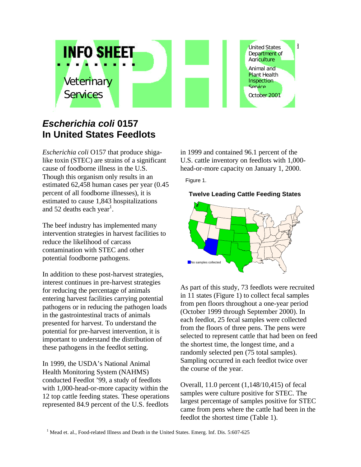

## *Escherichia coli* **0157 In United States Feedlots**

*Escherichia coli* O157 that produce shigalike toxin (STEC) are strains of a significant cause of foodborne illness in the U.S. Though this organism only results in an estimated 62,458 human cases per year (0.45 percent of all foodborne illnesses), it is estimated to cause 1,843 hospitalizations and 52 deaths each year<sup>1</sup>.

The beef industry has implemented many intervention strategies in harvest facilities to reduce the likelihood of carcass contamination with STEC and other potential foodborne pathogens.

In addition to these post-harvest strategies, interest continues in pre-harvest strategies for reducing the percentage of animals entering harvest facilities carrying potential pathogens or in reducing the pathogen loads in the gastrointestinal tracts of animals presented for harvest. To understand the potential for pre-harvest intervention, it is important to understand the distribution of these pathogens in the feedlot setting.

In 1999, the USDA's National Animal Health Monitoring System (NAHMS) conducted Feedlot '99, a study of feedlots with 1,000-head-or-more capacity within the 12 top cattle feeding states. These operations represented 84.9 percent of the U.S. feedlots

in 1999 and contained 96.1 percent of the U.S. cattle inventory on feedlots with 1,000 head-or-more capacity on January 1, 2000.

Figure 1.

## **Twelve Leading Cattle Feeding States**



As part of this study, 73 feedlots were recruited in 11 states (Figure 1) to collect fecal samples from pen floors throughout a one-year period (October 1999 through September 2000). In each feedlot, 25 fecal samples were collected from the floors of three pens. The pens were selected to represent cattle that had been on feed the shortest time, the longest time, and a randomly selected pen (75 total samples). Sampling occurred in each feedlot twice over the course of the year.

Overall, 11.0 percent (1,148/10,415) of fecal samples were culture positive for STEC. The largest percentage of samples positive for STEC came from pens where the cattle had been in the feedlot the shortest time (Table 1).

<sup>1</sup> Mead et. al., Food-related Illness and Death in the United States. Emerg. Inf. Dis. 5:607-625